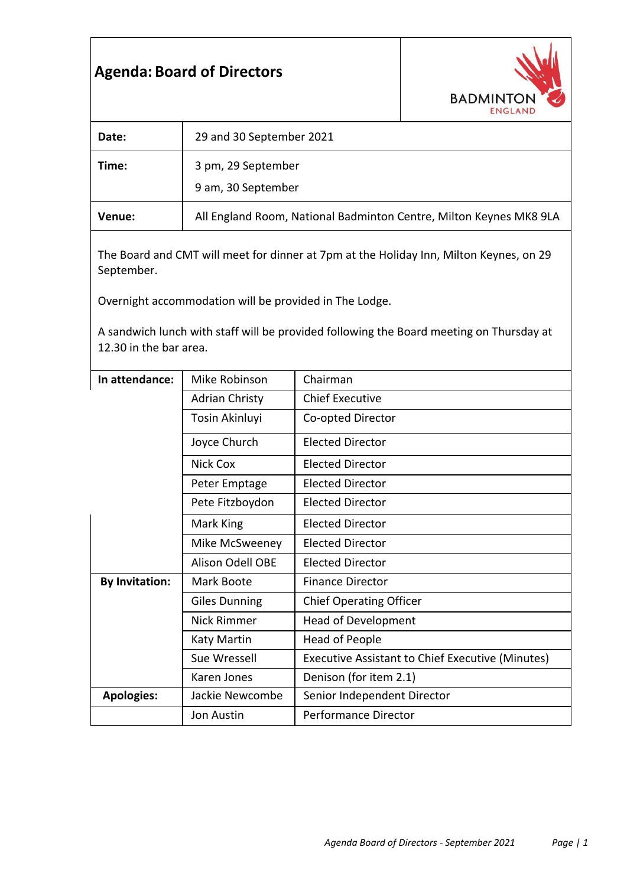# **Agenda: Board of Directors**



| Date:  | 29 and 30 September 2021                                           |  |
|--------|--------------------------------------------------------------------|--|
| Time:  | 3 pm, 29 September<br>9 am, 30 September                           |  |
| Venue: | All England Room, National Badminton Centre, Milton Keynes MK8 9LA |  |

The Board and CMT will meet for dinner at 7pm at the Holiday Inn, Milton Keynes, on 29 September.

Overnight accommodation will be provided in The Lodge.

A sandwich lunch with staff will be provided following the Board meeting on Thursday at 12.30 in the bar area.

| In attendance:        | Mike Robinson         | Chairman                                                |
|-----------------------|-----------------------|---------------------------------------------------------|
|                       | <b>Adrian Christy</b> | <b>Chief Executive</b>                                  |
|                       | Tosin Akinluyi        | Co-opted Director                                       |
|                       | Joyce Church          | <b>Elected Director</b>                                 |
|                       | Nick Cox              | <b>Elected Director</b>                                 |
|                       | Peter Emptage         | <b>Elected Director</b>                                 |
|                       | Pete Fitzboydon       | <b>Elected Director</b>                                 |
|                       | Mark King             | <b>Elected Director</b>                                 |
|                       | Mike McSweeney        | <b>Elected Director</b>                                 |
|                       | Alison Odell OBE      | <b>Elected Director</b>                                 |
| <b>By Invitation:</b> | Mark Boote            | <b>Finance Director</b>                                 |
|                       | <b>Giles Dunning</b>  | <b>Chief Operating Officer</b>                          |
|                       | <b>Nick Rimmer</b>    | <b>Head of Development</b>                              |
|                       | Katy Martin           | Head of People                                          |
|                       | Sue Wressell          | <b>Executive Assistant to Chief Executive (Minutes)</b> |
|                       | Karen Jones           | Denison (for item 2.1)                                  |
| <b>Apologies:</b>     | Jackie Newcombe       | Senior Independent Director                             |
|                       | Jon Austin            | <b>Performance Director</b>                             |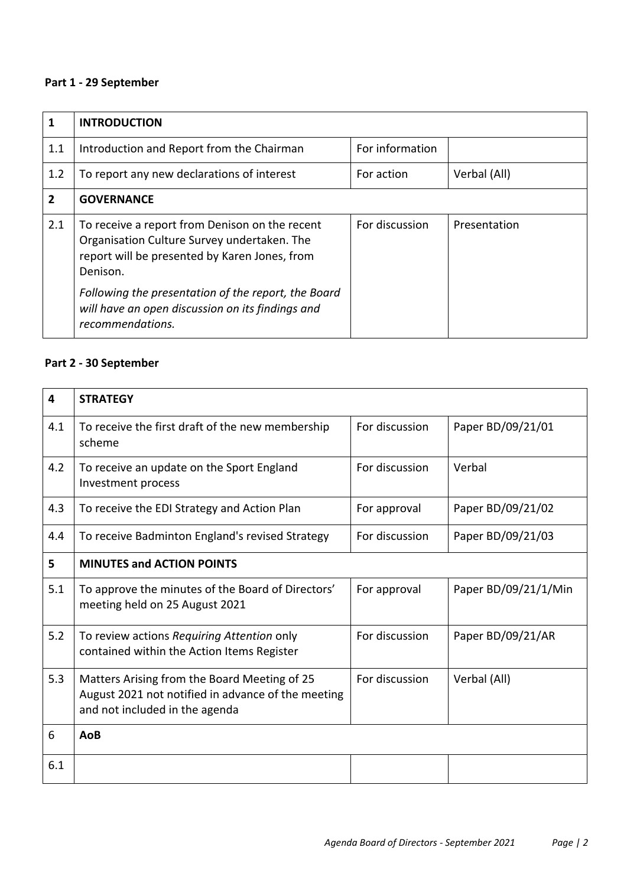### **Part 1 - 29 September**

| 1   | <b>INTRODUCTION</b>                                                                                                                                        |                 |              |
|-----|------------------------------------------------------------------------------------------------------------------------------------------------------------|-----------------|--------------|
| 1.1 | Introduction and Report from the Chairman                                                                                                                  | For information |              |
| 1.2 | To report any new declarations of interest                                                                                                                 | For action      | Verbal (All) |
| 2   | <b>GOVERNANCE</b>                                                                                                                                          |                 |              |
| 2.1 | To receive a report from Denison on the recent<br>Organisation Culture Survey undertaken. The<br>report will be presented by Karen Jones, from<br>Denison. | For discussion  | Presentation |
|     | Following the presentation of the report, the Board<br>will have an open discussion on its findings and<br>recommendations.                                |                 |              |

### **Part 2 - 30 September**

| 4   | <b>STRATEGY</b>                                                                                                                      |                |                      |
|-----|--------------------------------------------------------------------------------------------------------------------------------------|----------------|----------------------|
|     |                                                                                                                                      |                |                      |
| 4.1 | To receive the first draft of the new membership<br>scheme                                                                           | For discussion | Paper BD/09/21/01    |
| 4.2 | To receive an update on the Sport England<br>Investment process                                                                      | For discussion | Verbal               |
| 4.3 | To receive the EDI Strategy and Action Plan                                                                                          | For approval   | Paper BD/09/21/02    |
| 4.4 | To receive Badminton England's revised Strategy                                                                                      | For discussion | Paper BD/09/21/03    |
| 5   | <b>MINUTES and ACTION POINTS</b>                                                                                                     |                |                      |
| 5.1 | To approve the minutes of the Board of Directors'<br>meeting held on 25 August 2021                                                  | For approval   | Paper BD/09/21/1/Min |
| 5.2 | To review actions Requiring Attention only<br>contained within the Action Items Register                                             | For discussion | Paper BD/09/21/AR    |
| 5.3 | Matters Arising from the Board Meeting of 25<br>August 2021 not notified in advance of the meeting<br>and not included in the agenda | For discussion | Verbal (All)         |
| 6   | AoB                                                                                                                                  |                |                      |
| 6.1 |                                                                                                                                      |                |                      |